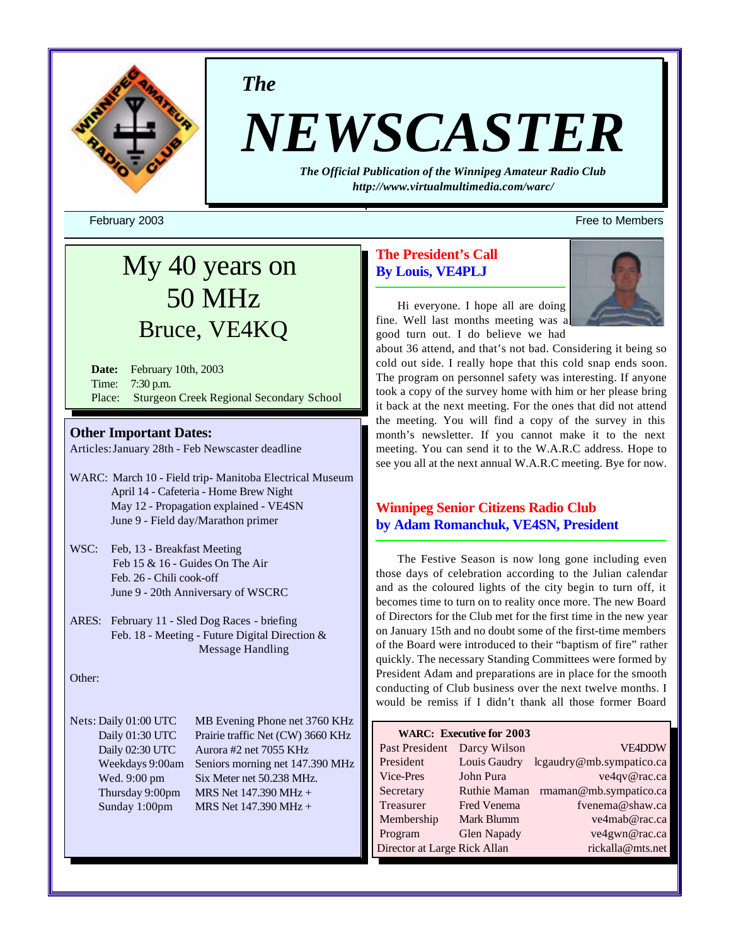

*The*

# *NEWSCASTER*

*The Official Publication of the Winnipeg Amateur Radio Club <http://www.virtualmultimedia.com/warc/>*

February 2003 Free to Members

# My 40 years on 50 MHz Bruce, VE4KQ

**Date:** February 10th, 2003 Time: 7:30 p.m. Place: Sturgeon Creek Regional Secondary School

# **Other Important Dates:**

Articles:January 28th - Feb Newscaster deadline

- WARC: March 10 Field trip- Manitoba Electrical Museum April 14 - Cafeteria - Home Brew Night May 12 - Propagation explained - VE4SN June 9 - Field day/Marathon primer
- WSC: Feb, 13 Breakfast Meeting Feb 15 & 16 - Guides On The Air Feb. 26 - Chili cook-off June 9 - 20th Anniversary of WSCRC
- ARES: February 11 Sled Dog Races briefing Feb. 18 - Meeting - Future Digital Direction & Message Handling

# Other:

Nets: Daily 01:00 UTC MB Evening Phone net 3760 KHz Daily 01:30 UTC Prairie traffic Net (CW) 3660 KHz Daily 02:30 UTC Aurora #2 net 7055 KHz Weekdays 9:00am Seniors morning net 147.390 MHz Wed. 9:00 pm Six Meter net 50.238 MHz. Thursday 9:00pm MRS Net  $147.390 \text{ MHz} +$ Sunday 1:00pm MRS Net 147.390 MHz +

# **The President's Call By Louis, VE4PLJ**



Hi everyone. I hope all are doing fine. Well last months meeting was a good turn out. I do believe we had

about 36 attend, and that's not bad. Considering it being so cold out side. I really hope that this cold snap ends soon. The program on personnel safety was interesting. If anyone took a copy of the survey home with him or her please bring it back at the next meeting. For the ones that did not attend the meeting. You will find a copy of the survey in this month's newsletter. If you cannot make it to the next meeting. You can send it to the W.A.R.C address. Hope to see you all at the next annual W.A.R.C meeting. Bye for now.

# **Winnipeg Senior Citizens Radio Club by Adam Romanchuk, VE4SN, President**

The Festive Season is now long gone including even those days of celebration according to the Julian calendar and as the coloured lights of the city begin to turn off, it becomes time to turn on to reality once more. The new Board of Directors for the Club met for the first time in the new year on January 15th and no doubt some of the first-time members of the Board were introduced to their "baptism of fire" rather quickly. The necessary Standing Committees were formed by President Adam and preparations are in place for the smooth conducting of Club business over the next twelve months. I would be remiss if I didn't thank all those former Board

|                              | <b>WARC: Executive for 2003</b> |                          |
|------------------------------|---------------------------------|--------------------------|
| Past President               | Darcy Wilson                    | <b>VE4DDW</b>            |
| President                    | Louis Gaudry                    | lcgaudry@mb.sympatico.ca |
| Vice-Pres                    | John Pura                       | ve4qv@rac.ca             |
| Secretary                    | <b>Ruthie Maman</b>             | rmaman@mb.sympatico.ca   |
| Treasurer                    | Fred Venema                     | fvenema@shaw.ca          |
| Membership                   | Mark Blumm                      | ve4mab@rac.ca            |
| Program                      | <b>Glen Napady</b>              | ve4gwn@rac.ca            |
| Director at Large Rick Allan |                                 | rickalla@mts.net         |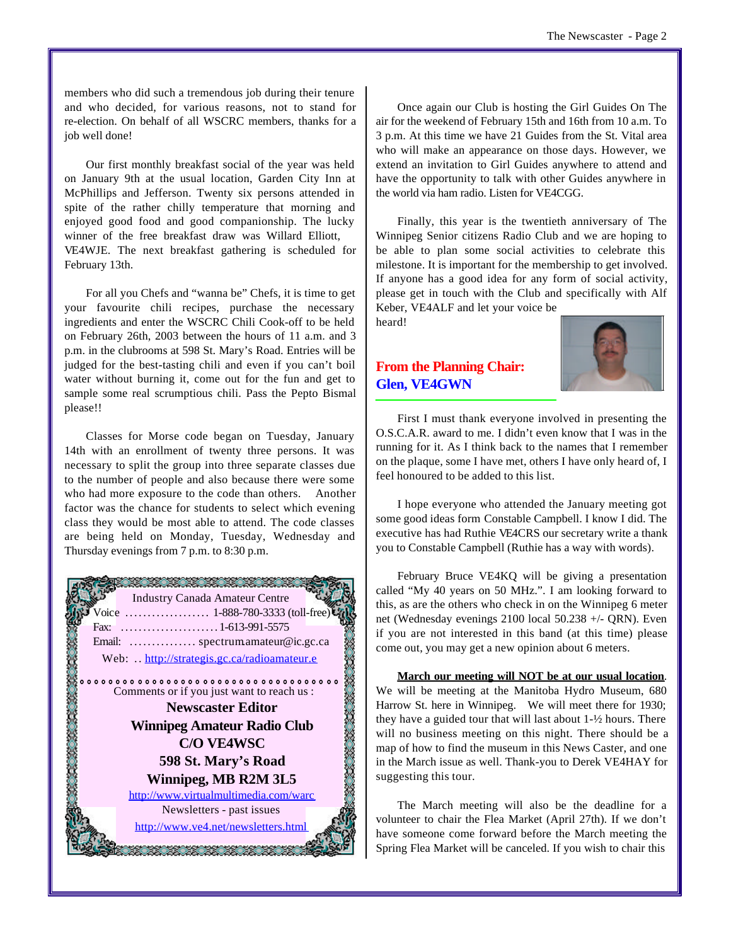members who did such a tremendous job during their tenure and who decided, for various reasons, not to stand for re-election. On behalf of all WSCRC members, thanks for a job well done!

Our first monthly breakfast social of the year was held on January 9th at the usual location, Garden City Inn at McPhillips and Jefferson. Twenty six persons attended in spite of the rather chilly temperature that morning and enjoyed good food and good companionship. The lucky winner of the free breakfast draw was Willard Elliott, VE4WJE. The next breakfast gathering is scheduled for February 13th.

For all you Chefs and "wanna be" Chefs, it is time to get your favourite chili recipes, purchase the necessary ingredients and enter the WSCRC Chili Cook-off to be held on February 26th, 2003 between the hours of 11 a.m. and 3 p.m. in the clubrooms at 598 St. Mary's Road. Entries will be judged for the best-tasting chili and even if you can't boil water without burning it, come out for the fun and get to sample some real scrumptious chili. Pass the Pepto Bismal please!!

Classes for Morse code began on Tuesday, January 14th with an enrollment of twenty three persons. It was necessary to split the group into three separate classes due to the number of people and also because there were some who had more exposure to the code than others. Another factor was the chance for students to select which evening class they would be most able to attend. The code classes are being held on Monday, Tuesday, Wednesday and Thursday evenings from 7 p.m. to 8:30 p.m.



Once again our Club is hosting the Girl Guides On The air for the weekend of February 15th and 16th from 10 a.m. To 3 p.m. At this time we have 21 Guides from the St. Vital area who will make an appearance on those days. However, we extend an invitation to Girl Guides anywhere to attend and have the opportunity to talk with other Guides anywhere in the world via ham radio. Listen for VE4CGG.

Finally, this year is the twentieth anniversary of The Winnipeg Senior citizens Radio Club and we are hoping to be able to plan some social activities to celebrate this milestone. It is important for the membership to get involved. If anyone has a good idea for any form of social activity, please get in touch with the Club and specifically with Alf Keber, VE4ALF and let your voice be heard!

**From the Planning Chair: Glen, VE4GWN**



First I must thank everyone involved in presenting the O.S.C.A.R. award to me. I didn't even know that I was in the running for it. As I think back to the names that I remember on the plaque, some I have met, others I have only heard of, I feel honoured to be added to this list.

I hope everyone who attended the January meeting got some good ideas form Constable Campbell. I know I did. The executive has had Ruthie VE4CRS our secretary write a thank you to Constable Campbell (Ruthie has a way with words).

February Bruce VE4KQ will be giving a presentation called "My 40 years on 50 MHz.". I am looking forward to this, as are the others who check in on the Winnipeg 6 meter net (Wednesday evenings 2100 local 50.238 +/- QRN). Even if you are not interested in this band (at this time) please come out, you may get a new opinion about 6 meters.

**March our meeting will NOT be at our usual location**. We will be meeting at the Manitoba Hydro Museum, 680 Harrow St. here in Winnipeg. We will meet there for 1930; they have a guided tour that will last about 1-½ hours. There will no business meeting on this night. There should be a map of how to find the museum in this News Caster, and one in the March issue as well. Thank-you to Derek VE4HAY for suggesting this tour.

The March meeting will also be the deadline for a volunteer to chair the Flea Market (April 27th). If we don't have someone come forward before the March meeting the Spring Flea Market will be canceled. If you wish to chair this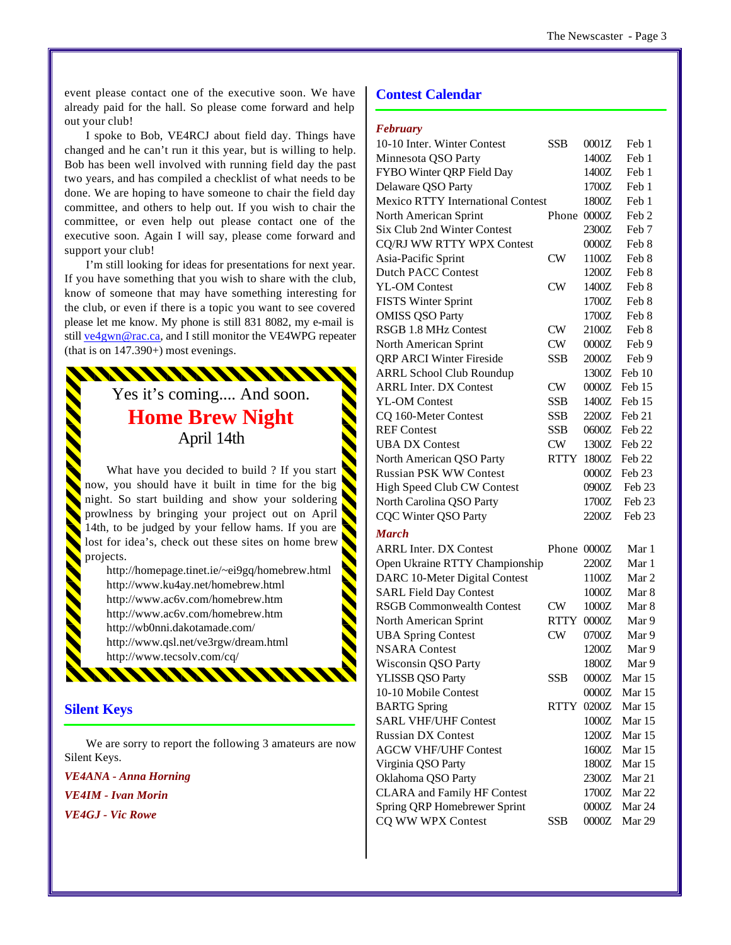event please contact one of the executive soon. We have already paid for the hall. So please come forward and help out your club!

I spoke to Bob, VE4RCJ about field day. Things have changed and he can't run it this year, but is willing to help. Bob has been well involved with running field day the past two years, and has compiled a checklist of what needs to be done. We are hoping to have someone to chair the field day committee, and others to help out. If you wish to chair the committee, or even help out please contact one of the executive soon. Again I will say, please come forward and support your club!

I'm still looking for ideas for presentations for next year. If you have something that you wish to share with the club, know of someone that may have something interesting for the club, or even if there is a topic you want to see covered please let me know. My phone is still 831 8082, my e-mail is still ve4gwn@rac.ca, and I still monitor the VE4WPG repeater (that is on 147.390+) most evenings.

# Yes it's coming.... And soon. **Home Brew Night** April 14th

WWWWWWWW

What have you decided to build ? If you start now, you should have it built in time for the big night. So start building and show your soldering prowlness by bringing your project out on April 14th, to be judged by your fellow hams. If you are lost for idea's, check out these sites on home brew projects.

<http://homepage.tinet.ie/~ei9gq/homebrew.html> <http://www.ku4ay.net/homebrew.html> <http://www.ac6v.com/homebrew.htm> <http://www.ac6v.com/homebrew.htm> <http://wb0nni.dakotamade.com/> <http://www.qsl.net/ve3rgw/dream.html> <http://www.tecsolv.com/cq/>

111111111

# **Silent Keys**

We are sorry to report the following 3 amateurs are now Silent Keys.

*VE4ANA - Anna Horning VE4IM - Ivan Morin VE4GJ - Vic Rowe*

# **Contest Calendar**

#### *February*

| 10-10 Inter. Winter Contest              | <b>SSB</b>  | 0001Z   | Feb 1            |
|------------------------------------------|-------------|---------|------------------|
| Minnesota QSO Party                      |             | 1400Z   | Feb 1            |
| FYBO Winter QRP Field Day                |             | 1400Z   | Feb 1            |
| Delaware QSO Party                       |             | 1700Z   | Feb 1            |
| <b>Mexico RTTY International Contest</b> |             | 1800Z   | Feb 1            |
| North American Sprint                    | Phone       | 0000Z   | Feb <sub>2</sub> |
| Six Club 2nd Winter Contest              |             | 2300Z   | Feb <sub>7</sub> |
| <b>CQ/RJ WW RTTY WPX Contest</b>         |             | 0000Z   | Feb 8            |
| Asia-Pacific Sprint                      | CW          | 1100Z   | Feb 8            |
| <b>Dutch PACC Contest</b>                |             | 1200Z   | Feb 8            |
| <b>YL-OM Contest</b>                     | CW          | 1400Z   | Feb 8            |
| <b>FISTS Winter Sprint</b>               |             | 1700Z   | Feb 8            |
| <b>OMISS QSO Party</b>                   |             | 1700Z   | Feb 8            |
| RSGB 1.8 MHz Contest                     | <b>CW</b>   | 2100Z   | Feb 8            |
| North American Sprint                    | CW          | 0000Z   | Feb 9            |
| <b>QRP ARCI Winter Fireside</b>          | <b>SSB</b>  | 2000Z   | Feb 9            |
| <b>ARRL School Club Roundup</b>          |             | 1300Z   | Feb 10           |
| <b>ARRL Inter. DX Contest</b>            | <b>CW</b>   | 0000Z   | Feb 15           |
| <b>YL-OM Contest</b>                     | <b>SSB</b>  | 1400Z   | Feb 15           |
| CQ 160-Meter Contest                     | <b>SSB</b>  | 2200Z   | Feb 21           |
| <b>REF Contest</b>                       | <b>SSB</b>  | 0600Z   | Feb 22           |
| <b>UBA DX Contest</b>                    | CW          | 1300Z   | Feb 22           |
|                                          | <b>RTTY</b> | 1800Z   | Feb 22           |
| North American QSO Party                 |             |         |                  |
| <b>Russian PSK WW Contest</b>            |             | 0000Z   | Feb 23           |
| High Speed Club CW Contest               |             |         | 0900Z Feb 23     |
| North Carolina QSO Party                 |             | 1700Z   | Feb 23           |
| <b>CQC Winter QSO Party</b>              |             | 2200Z   | Feb 23           |
| <b>March</b>                             |             |         |                  |
| <b>ARRL Inter. DX Contest</b>            | Phone 0000Z |         | Mar 1            |
| Open Ukraine RTTY Championship           |             | 2200Z   | Mar 1            |
| DARC 10-Meter Digital Contest            |             | 1100Z   | Mar 2            |
| <b>SARL Field Day Contest</b>            |             | 1000Z   | Mar 8            |
| <b>RSGB Commonwealth Contest</b>         | CW          | 1000Z   | Mar <sub>8</sub> |
| North American Sprint                    | RTTY        | 0000Z   | Mar 9            |
| <b>UBA Spring Contest</b>                | CW          | 0700Z   | Mar 9            |
| <b>NSARA</b> Contest                     |             | 1200Z   | Mar 9            |
| Wisconsin QSO Party                      |             | 1800Z   | Mar 9            |
| <b>YLISSB QSO Party</b>                  | <b>SSB</b>  | $0000Z$ | Mar 15           |
| 10-10 Mobile Contest                     |             | 0000Z   | Mar 15           |
| <b>BARTG</b> Spring                      | RTTY        | 0200Z   | Mar 15           |
| <b>SARL VHF/UHF Contest</b>              |             | 1000Z   | Mar 15           |
| <b>Russian DX Contest</b>                |             | 1200Z   | Mar 15           |
| <b>AGCW VHF/UHF Contest</b>              |             | 1600Z   | Mar 15           |
| Virginia QSO Party                       |             | 1800Z   | Mar 15           |
| Oklahoma QSO Party                       |             | 2300Z   | Mar 21           |
| <b>CLARA</b> and Family HF Contest       |             | 1700Z   | Mar 22           |
| Spring QRP Homebrewer Sprint             |             | 0000Z   | Mar 24           |
| CQ WW WPX Contest                        | <b>SSB</b>  | 0000Z   | Mar 29           |
|                                          |             |         |                  |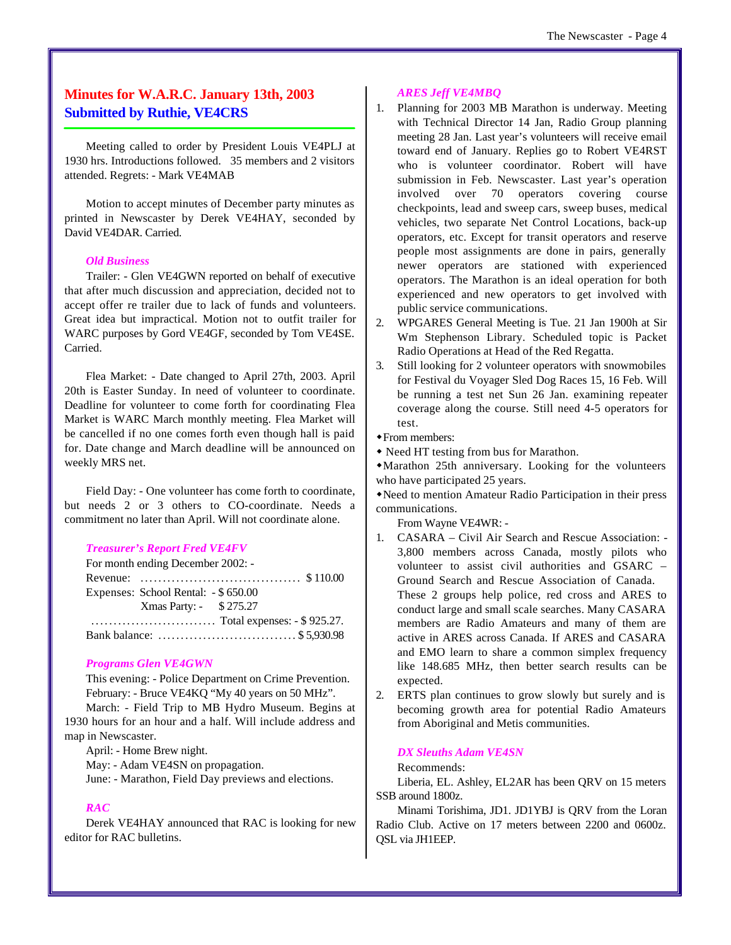# **Minutes for W.A.R.C. January 13th, 2003 Submitted by Ruthie, VE4CRS**

Meeting called to order by President Louis VE4PLJ at 1930 hrs. Introductions followed. 35 members and 2 visitors attended. Regrets: - Mark VE4MAB

Motion to accept minutes of December party minutes as printed in Newscaster by Derek VE4HAY, seconded by David VE4DAR. Carried.

# *Old Business*

Trailer: - Glen VE4GWN reported on behalf of executive that after much discussion and appreciation, decided not to accept offer re trailer due to lack of funds and volunteers. Great idea but impractical. Motion not to outfit trailer for WARC purposes by Gord VE4GF, seconded by Tom VE4SE. Carried.

Flea Market: - Date changed to April 27th, 2003. April 20th is Easter Sunday. In need of volunteer to coordinate. Deadline for volunteer to come forth for coordinating Flea Market is WARC March monthly meeting. Flea Market will be cancelled if no one comes forth even though hall is paid for. Date change and March deadline will be announced on weekly MRS net.

Field Day: - One volunteer has come forth to coordinate, but needs 2 or 3 others to CO-coordinate. Needs a commitment no later than April. Will not coordinate alone.

#### *Treasurer's Report Fred VE4FV*

| For month ending December 2002: -    |  |
|--------------------------------------|--|
|                                      |  |
| Expenses: School Rental: - \$ 650.00 |  |
| Xmas Party: - \$275.27               |  |
|                                      |  |
| Bank balance: \$5,930.98             |  |

#### *Programs Glen VE4GWN*

This evening: - Police Department on Crime Prevention. February: - Bruce VE4KQ "My 40 years on 50 MHz".

March: - Field Trip to MB Hydro Museum. Begins at 1930 hours for an hour and a half. Will include address and map in Newscaster.

April: - Home Brew night.

May: - Adam VE4SN on propagation.

June: - Marathon, Field Day previews and elections.

# *RAC*

Derek VE4HAY announced that RAC is looking for new editor for RAC bulletins.

# *ARES Jeff VE4MBQ*

- 1. Planning for 2003 MB Marathon is underway. Meeting with Technical Director 14 Jan, Radio Group planning meeting 28 Jan. Last year's volunteers will receive email toward end of January. Replies go to Robert VE4RST who is volunteer coordinator. Robert will have submission in Feb. Newscaster. Last year's operation involved over 70 operators covering course checkpoints, lead and sweep cars, sweep buses, medical vehicles, two separate Net Control Locations, back-up operators, etc. Except for transit operators and reserve people most assignments are done in pairs, generally newer operators are stationed with experienced operators. The Marathon is an ideal operation for both experienced and new operators to get involved with public service communications.
- 2. WPGARES General Meeting is Tue. 21 Jan 1900h at Sir Wm Stephenson Library. Scheduled topic is Packet Radio Operations at Head of the Red Regatta.
- 3. Still looking for 2 volunteer operators with snowmobiles for Festival du Voyager Sled Dog Races 15, 16 Feb. Will be running a test net Sun 26 Jan. examining repeater coverage along the course. Still need 4-5 operators for test.
- $\triangle$  From members:
- Need HT testing from bus for Marathon.

wMarathon 25th anniversary. Looking for the volunteers who have participated 25 years.

wNeed to mention Amateur Radio Participation in their press communications.

From Wayne VE4WR: -

- 1. CASARA Civil Air Search and Rescue Association: 3,800 members across Canada, mostly pilots who volunteer to assist civil authorities and GSARC – Ground Search and Rescue Association of Canada. These 2 groups help police, red cross and ARES to conduct large and small scale searches. Many CASARA members are Radio Amateurs and many of them are active in ARES across Canada. If ARES and CASARA and EMO learn to share a common simplex frequency like 148.685 MHz, then better search results can be expected.
- 2. ERTS plan continues to grow slowly but surely and is becoming growth area for potential Radio Amateurs from Aboriginal and Metis communities.

#### *DX Sleuths Adam VE4SN*

# Recommends:

Liberia, EL. Ashley, EL2AR has been QRV on 15 meters SSB around 1800z.

Minami Torishima, JD1. JD1YBJ is QRV from the Loran Radio Club. Active on 17 meters between 2200 and 0600z. QSL via JH1EEP.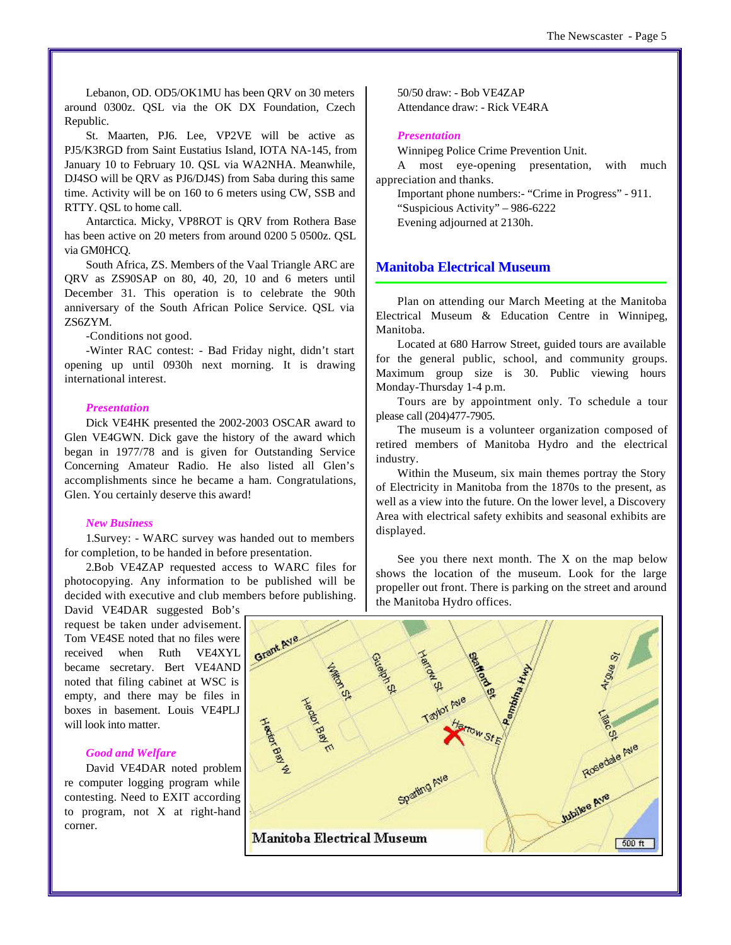Lebanon, OD. OD5/OK1MU has been QRV on 30 meters around 0300z. QSL via the OK DX Foundation, Czech Republic.

St. Maarten, PJ6. Lee, VP2VE will be active as PJ5/K3RGD from Saint Eustatius Island, IOTA NA-145, from January 10 to February 10. QSL via WA2NHA. Meanwhile, DJ4SO will be QRV as PJ6/DJ4S) from Saba during this same time. Activity will be on 160 to 6 meters using CW, SSB and RTTY. QSL to home call.

Antarctica. Micky, VP8ROT is QRV from Rothera Base has been active on 20 meters from around 0200 5 0500z. QSL via GM0HCQ.

South Africa, ZS. Members of the Vaal Triangle ARC are QRV as ZS90SAP on 80, 40, 20, 10 and 6 meters until December 31. This operation is to celebrate the 90th anniversary of the South African Police Service. QSL via ZS6ZYM.

-Conditions not good.

-Winter RAC contest: - Bad Friday night, didn't start opening up until 0930h next morning. It is drawing international interest.

# *Presentation*

Dick VE4HK presented the 2002-2003 OSCAR award to Glen VE4GWN. Dick gave the history of the award which began in 1977/78 and is given for Outstanding Service Concerning Amateur Radio. He also listed all Glen's accomplishments since he became a ham. Congratulations, Glen. You certainly deserve this award!

## *New Business*

1.Survey: - WARC survey was handed out to members for completion, to be handed in before presentation.

2.Bob VE4ZAP requested access to WARC files for photocopying. Any information to be published will be decided with executive and club members before publishing.

David VE4DAR suggested Bob's request be taken under advisement. Tom VE4SE noted that no files were received when Ruth VE4XYL became secretary. Bert VE4AND noted that filing cabinet at WSC is empty, and there may be files in boxes in basement. Louis VE4PLJ will look into matter.

# *Good and Welfare*

David VE4DAR noted problem re computer logging program while contesting. Need to EXIT according to program, not X at right-hand corner.

50/50 draw: - Bob VE4ZAP Attendance draw: - Rick VE4RA

### *Presentation*

Winnipeg Police Crime Prevention Unit.

A most eye-opening presentation, with much appreciation and thanks.

Important phone numbers:- "Crime in Progress" - 911. "Suspicious Activity" – 986-6222 Evening adjourned at 2130h.

# **Manitoba Electrical Museum**

Plan on attending our March Meeting at the Manitoba Electrical Museum & Education Centre in Winnipeg, Manitoba.

Located at 680 Harrow Street, guided tours are available for the general public, school, and community groups. Maximum group size is 30. Public viewing hours Monday-Thursday 1-4 p.m.

Tours are by appointment only. To schedule a tour please call (204)477-7905.

The museum is a volunteer organization composed of retired members of Manitoba Hydro and the electrical industry.

Within the Museum, six main themes portray the Story of Electricity in Manitoba from the 1870s to the present, as well as a view into the future. On the lower level, a Discovery Area with electrical safety exhibits and seasonal exhibits are displayed.

See you there next month. The X on the map below shows the location of the museum. Look for the large propeller out front. There is parking on the street and around the Manitoba Hydro offices.

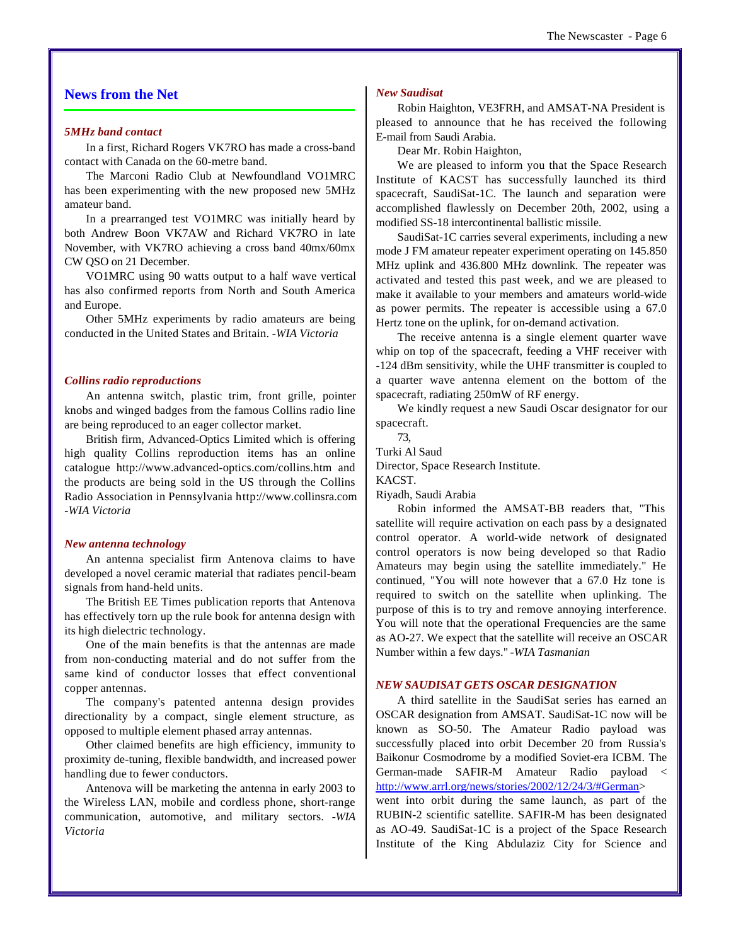# **News from the Net**

#### *5MHz band contact*

In a first, Richard Rogers VK7RO has made a cross-band contact with Canada on the 60-metre band.

The Marconi Radio Club at Newfoundland VO1MRC has been experimenting with the new proposed new 5MHz amateur band.

In a prearranged test VO1MRC was initially heard by both Andrew Boon VK7AW and Richard VK7RO in late November, with VK7RO achieving a cross band 40mx/60mx CW QSO on 21 December.

VO1MRC using 90 watts output to a half wave vertical has also confirmed reports from North and South America and Europe.

Other 5MHz experiments by radio amateurs are being conducted in the United States and Britain. *-WIA Victoria*

#### *Collins radio reproductions*

An antenna switch, plastic trim, front grille, pointer knobs and winged badges from the famous Collins radio line are being reproduced to an eager collector market.

British firm, Advanced-Optics Limited which is offering high quality Collins reproduction items has an online catalogue <http://www.advanced-optics.com/collins.htm> and the products are being sold in the US through the Collins Radio Association in Pennsylvania<http://www.collinsra.com> *-WIA Victoria*

#### *New antenna technology*

An antenna specialist firm Antenova claims to have developed a novel ceramic material that radiates pencil-beam signals from hand-held units.

The British EE Times publication reports that Antenova has effectively torn up the rule book for antenna design with its high dielectric technology.

One of the main benefits is that the antennas are made from non-conducting material and do not suffer from the same kind of conductor losses that effect conventional copper antennas.

The company's patented antenna design provides directionality by a compact, single element structure, as opposed to multiple element phased array antennas.

Other claimed benefits are high efficiency, immunity to proximity de-tuning, flexible bandwidth, and increased power handling due to fewer conductors.

Antenova will be marketing the antenna in early 2003 to the Wireless LAN, mobile and cordless phone, short-range communication, automotive, and military sectors. *-WIA Victoria*

#### *New Saudisat*

Robin Haighton, VE3FRH, and AMSAT-NA President is pleased to announce that he has received the following E-mail from Saudi Arabia.

Dear Mr. Robin Haighton,

We are pleased to inform you that the Space Research Institute of KACST has successfully launched its third spacecraft, SaudiSat-1C. The launch and separation were accomplished flawlessly on December 20th, 2002, using a modified SS-18 intercontinental ballistic missile.

SaudiSat-1C carries several experiments, including a new mode J FM amateur repeater experiment operating on 145.850 MHz uplink and 436.800 MHz downlink. The repeater was activated and tested this past week, and we are pleased to make it available to your members and amateurs world-wide as power permits. The repeater is accessible using a 67.0 Hertz tone on the uplink, for on-demand activation.

The receive antenna is a single element quarter wave whip on top of the spacecraft, feeding a VHF receiver with -124 dBm sensitivity, while the UHF transmitter is coupled to a quarter wave antenna element on the bottom of the spacecraft, radiating 250mW of RF energy.

We kindly request a new Saudi Oscar designator for our spacecraft.

73, Turki Al Saud Director, Space Research Institute. KACST. Riyadh, Saudi Arabia

Robin informed the AMSAT-BB readers that, "This satellite will require activation on each pass by a designated control operator. A world-wide network of designated control operators is now being developed so that Radio Amateurs may begin using the satellite immediately." He continued, "You will note however that a 67.0 Hz tone is required to switch on the satellite when uplinking. The purpose of this is to try and remove annoying interference. You will note that the operational Frequencies are the same as AO-27. We expect that the satellite will receive an OSCAR Number within a few days." *-WIA Tasmanian*

#### *NEW SAUDISAT GETS OSCAR DESIGNATION*

A third satellite in the SaudiSat series has earned an OSCAR designation from AMSAT. SaudiSat-1C now will be known as SO-50. The Amateur Radio payload was successfully placed into orbit December 20 from Russia's Baikonur Cosmodrome by a modified Soviet-era ICBM. The German-made SAFIR-M Amateur Radio payload < [http://www.arrl.org/news/stories/2002/12/24/3/#German>](http://www.arrl.org/news/stories/2002/12/24/3/#German)

went into orbit during the same launch, as part of the RUBIN-2 scientific satellite. SAFIR-M has been designated as AO-49. SaudiSat-1C is a project of the Space Research Institute of the King Abdulaziz City for Science and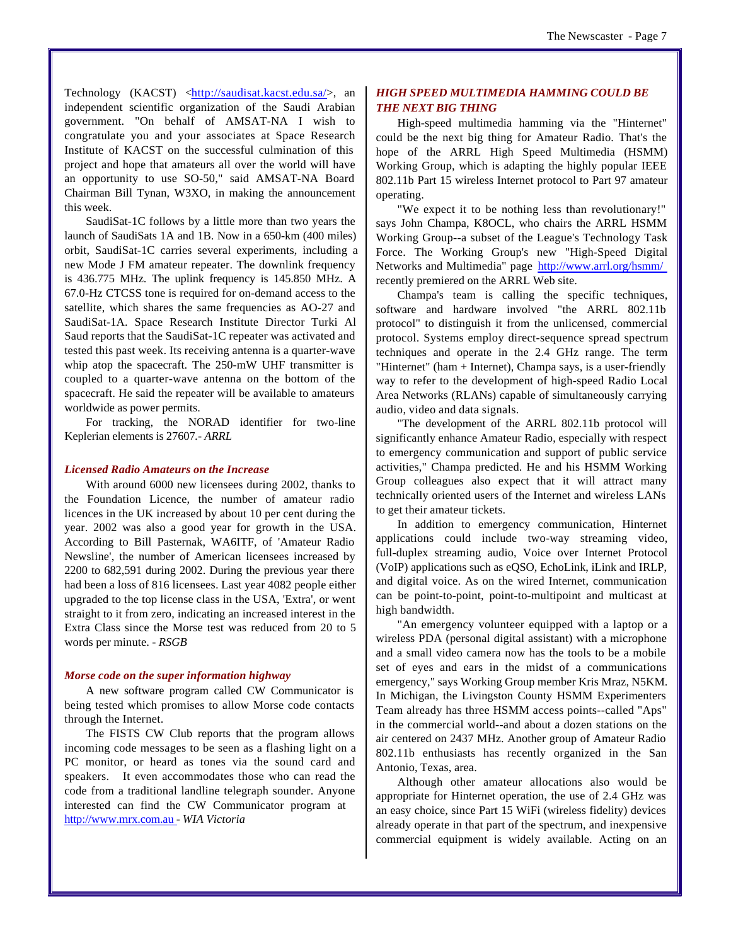Technology (KACST) [<http://saudisat.kacst.edu.sa/>,](http://saudisat.kacst.edu.sa/) an independent scientific organization of the Saudi Arabian government. "On behalf of AMSAT-NA I wish to congratulate you and your associates at Space Research Institute of KACST on the successful culmination of this project and hope that amateurs all over the world will have an opportunity to use SO-50," said AMSAT-NA Board Chairman Bill Tynan, W3XO, in making the announcement this week.

SaudiSat-1C follows by a little more than two years the launch of SaudiSats 1A and 1B. Now in a 650-km (400 miles) orbit, SaudiSat-1C carries several experiments, including a new Mode J FM amateur repeater. The downlink frequency is 436.775 MHz. The uplink frequency is 145.850 MHz. A 67.0-Hz CTCSS tone is required for on-demand access to the satellite, which shares the same frequencies as AO-27 and SaudiSat-1A. Space Research Institute Director Turki Al Saud reports that the SaudiSat-1C repeater was activated and tested this past week. Its receiving antenna is a quarter-wave whip atop the spacecraft. The 250-mW UHF transmitter is coupled to a quarter-wave antenna on the bottom of the spacecraft. He said the repeater will be available to amateurs worldwide as power permits.

For tracking, the NORAD identifier for two-line Keplerian elements is 27607*.- ARRL*

#### *Licensed Radio Amateurs on the Increase*

With around 6000 new licensees during 2002, thanks to the Foundation Licence, the number of amateur radio licences in the UK increased by about 10 per cent during the year. 2002 was also a good year for growth in the USA. According to Bill Pasternak, WA6ITF, of 'Amateur Radio Newsline', the number of American licensees increased by 2200 to 682,591 during 2002. During the previous year there had been a loss of 816 licensees. Last year 4082 people either upgraded to the top license class in the USA, 'Extra', or went straight to it from zero, indicating an increased interest in the Extra Class since the Morse test was reduced from 20 to 5 words per minute. *- RSGB*

#### *Morse code on the super information highway*

A new software program called CW Communicator is being tested which promises to allow Morse code contacts through the Internet.

The FISTS CW Club reports that the program allows incoming code messages to be seen as a flashing light on a PC monitor, or heard as tones via the sound card and speakers. It even accommodates those who can read the code from a traditional landline telegraph sounder. Anyone interested can find the CW Communicator program at <http://www.mrx.com.au>- *WIA Victoria*

# *HIGH SPEED MULTIMEDIA HAMMING COULD BE THE NEXT BIG THING*

High-speed multimedia hamming via the "Hinternet" could be the next big thing for Amateur Radio. That's the hope of the ARRL High Speed Multimedia (HSMM) Working Group, which is adapting the highly popular IEEE 802.11b Part 15 wireless Internet protocol to Part 97 amateur operating.

"We expect it to be nothing less than revolutionary!" says John Champa, K8OCL, who chairs the ARRL HSMM Working Group--a subset of the League's Technology Task Force. The Working Group's new "High-Speed Digital Networks and Multimedia" page <http://www.arrl.org/hsmm/> recently premiered on the ARRL Web site.

Champa's team is calling the specific techniques, software and hardware involved "the ARRL 802.11b protocol" to distinguish it from the unlicensed, commercial protocol. Systems employ direct-sequence spread spectrum techniques and operate in the 2.4 GHz range. The term "Hinternet" (ham + Internet), Champa says, is a user-friendly way to refer to the development of high-speed Radio Local Area Networks (RLANs) capable of simultaneously carrying audio, video and data signals.

"The development of the ARRL 802.11b protocol will significantly enhance Amateur Radio, especially with respect to emergency communication and support of public service activities," Champa predicted. He and his HSMM Working Group colleagues also expect that it will attract many technically oriented users of the Internet and wireless LANs to get their amateur tickets.

In addition to emergency communication, Hinternet applications could include two-way streaming video, full-duplex streaming audio, Voice over Internet Protocol (VoIP) applications such as eQSO, EchoLink, iLink and IRLP, and digital voice. As on the wired Internet, communication can be point-to-point, point-to-multipoint and multicast at high bandwidth.

"An emergency volunteer equipped with a laptop or a wireless PDA (personal digital assistant) with a microphone and a small video camera now has the tools to be a mobile set of eyes and ears in the midst of a communications emergency," says Working Group member Kris Mraz, N5KM. In Michigan, the Livingston County HSMM Experimenters Team already has three HSMM access points--called "Aps" in the commercial world--and about a dozen stations on the air centered on 2437 MHz. Another group of Amateur Radio 802.11b enthusiasts has recently organized in the San Antonio, Texas, area.

Although other amateur allocations also would be appropriate for Hinternet operation, the use of 2.4 GHz was an easy choice, since Part 15 WiFi (wireless fidelity) devices already operate in that part of the spectrum, and inexpensive commercial equipment is widely available. Acting on an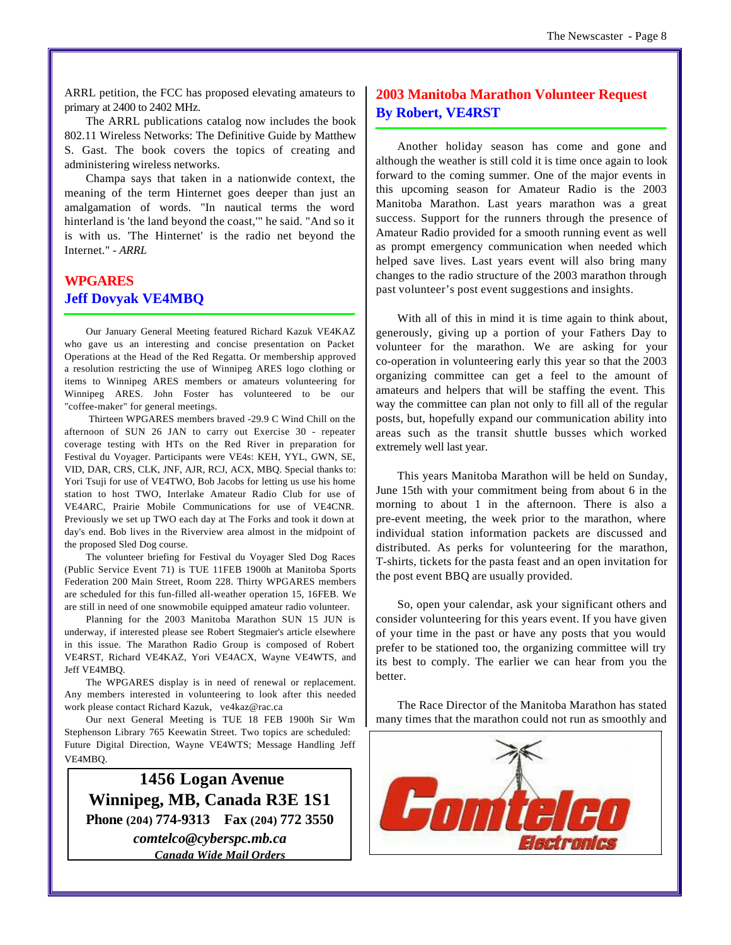ARRL petition, the FCC has proposed elevating amateurs to primary at 2400 to 2402 MHz.

The ARRL publications catalog now includes the book 802.11 Wireless Networks: The Definitive Guide by Matthew S. Gast. The book covers the topics of creating and administering wireless networks.

Champa says that taken in a nationwide context, the meaning of the term Hinternet goes deeper than just an amalgamation of words. "In nautical terms the word hinterland is 'the land beyond the coast,'" he said. "And so it is with us. 'The Hinternet' is the radio net beyond the Internet." *- ARRL*

# **WPGARES Jeff Dovyak VE4MBQ**

Our January General Meeting featured Richard Kazuk VE4KAZ who gave us an interesting and concise presentation on Packet Operations at the Head of the Red Regatta. Or membership approved a resolution restricting the use of Winnipeg ARES logo clothing or items to Winnipeg ARES members or amateurs volunteering for Winnipeg ARES. John Foster has volunteered to be our "coffee-maker" for general meetings.

 Thirteen WPGARES members braved -29.9 C Wind Chill on the afternoon of SUN 26 JAN to carry out Exercise 30 - repeater coverage testing with HTs on the Red River in preparation for Festival du Voyager. Participants were VE4s: KEH, YYL, GWN, SE, VID, DAR, CRS, CLK, JNF, AJR, RCJ, ACX, MBQ. Special thanks to: Yori Tsuji for use of VE4TWO, Bob Jacobs for letting us use his home station to host TWO, Interlake Amateur Radio Club for use of VE4ARC, Prairie Mobile Communications for use of VE4CNR. Previously we set up TWO each day at The Forks and took it down at day's end. Bob lives in the Riverview area almost in the midpoint of the proposed Sled Dog course.

The volunteer briefing for Festival du Voyager Sled Dog Races (Public Service Event 71) is TUE 11FEB 1900h at Manitoba Sports Federation 200 Main Street, Room 228. Thirty WPGARES members are scheduled for this fun-filled all-weather operation 15, 16FEB. We are still in need of one snowmobile equipped amateur radio volunteer.

Planning for the 2003 Manitoba Marathon SUN 15 JUN is underway, if interested please see Robert Stegmaier's article elsewhere in this issue. The Marathon Radio Group is composed of Robert VE4RST, Richard VE4KAZ, Yori VE4ACX, Wayne VE4WTS, and Jeff VE4MBQ.

The WPGARES display is in need of renewal or replacement. Any members interested in volunteering to look after this needed work please contact Richard Kazuk, ve4kaz@rac.ca

Our next General Meeting is TUE 18 FEB 1900h Sir Wm Stephenson Library 765 Keewatin Street. Two topics are scheduled: Future Digital Direction, Wayne VE4WTS; Message Handling Jeff VE4MBQ.

 **1456 Logan Avenue Winnipeg, MB, Canada R3E 1S1 Phone (204) 774-9313 Fax (204) 772 3550** *comtelco@cyberspc.mb.ca Canada Wide Mail Orders*

# **2003 Manitoba Marathon Volunteer Request By Robert, VE4RST**

Another holiday season has come and gone and although the weather is still cold it is time once again to look forward to the coming summer. One of the major events in this upcoming season for Amateur Radio is the 2003 Manitoba Marathon. Last years marathon was a great success. Support for the runners through the presence of Amateur Radio provided for a smooth running event as well as prompt emergency communication when needed which helped save lives. Last years event will also bring many changes to the radio structure of the 2003 marathon through past volunteer's post event suggestions and insights.

With all of this in mind it is time again to think about, generously, giving up a portion of your Fathers Day to volunteer for the marathon. We are asking for your co-operation in volunteering early this year so that the 2003 organizing committee can get a feel to the amount of amateurs and helpers that will be staffing the event. This way the committee can plan not only to fill all of the regular posts, but, hopefully expand our communication ability into areas such as the transit shuttle busses which worked extremely well last year.

This years Manitoba Marathon will be held on Sunday, June 15th with your commitment being from about 6 in the morning to about 1 in the afternoon. There is also a pre-event meeting, the week prior to the marathon, where individual station information packets are discussed and distributed. As perks for volunteering for the marathon, T-shirts, tickets for the pasta feast and an open invitation for the post event BBQ are usually provided.

So, open your calendar, ask your significant others and consider volunteering for this years event. If you have given of your time in the past or have any posts that you would prefer to be stationed too, the organizing committee will try its best to comply. The earlier we can hear from you the better.

The Race Director of the Manitoba Marathon has stated many times that the marathon could not run as smoothly and

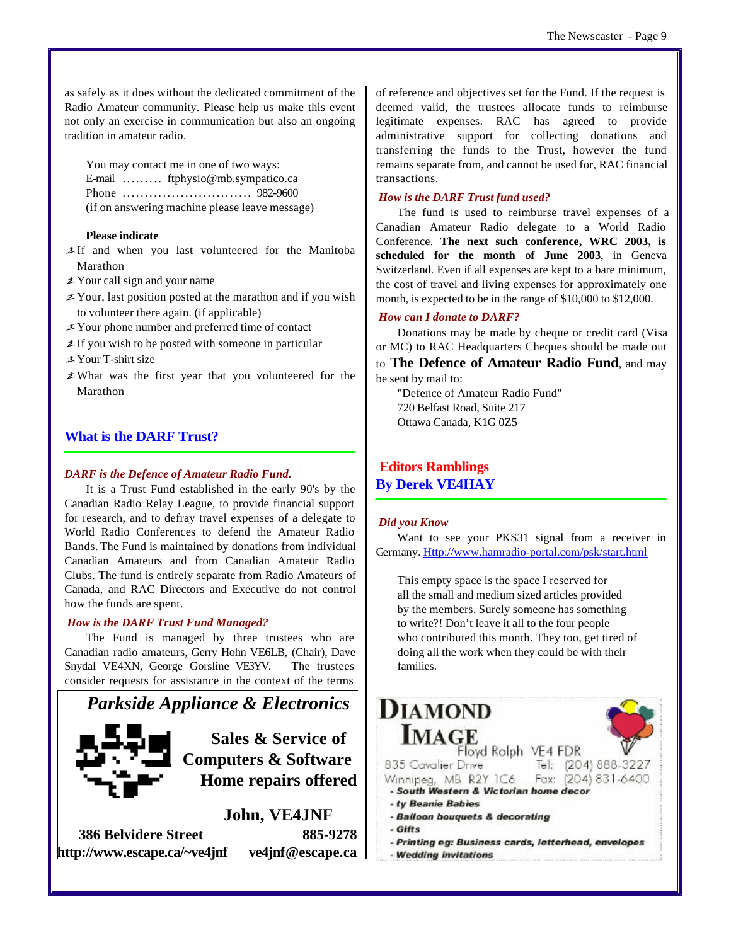as safely as it does without the dedicated commitment of the Radio Amateur community. Please help us make this event not only an exercise in communication but also an ongoing tradition in amateur radio.

You may contact me in one of two ways: E-mail ......... ftphysio@mb.sympatico.ca Phone ............................. 982-9600 (if on answering machine please leave message)

# **Please indicate**

- ãIf and when you last volunteered for the Manitoba Marathon
- $\angle$  Your call sign and your name
- $\angle$  Your, last position posted at the marathon and if you wish to volunteer there again. (if applicable)
- $\angle$  Your phone number and preferred time of contact
- $\angle$ If you wish to be posted with someone in particular
- $\angle$  Your T-shirt size
- ãWhat was the first year that you volunteered for the Marathon

# **What is the DARF Trust?**

# *DARF is the Defence of Amateur Radio Fund.*

It is a Trust Fund established in the early 90's by the Canadian Radio Relay League, to provide financial support for research, and to defray travel expenses of a delegate to World Radio Conferences to defend the Amateur Radio Bands. The Fund is maintained by donations from individual Canadian Amateurs and from Canadian Amateur Radio Clubs. The fund is entirely separate from Radio Amateurs of Canada, and RAC Directors and Executive do not control how the funds are spent.

# *How is the DARF Trust Fund Managed?*

The Fund is managed by three trustees who are Canadian radio amateurs, Gerry Hohn VE6LB, (Chair), Dave Snydal VE4XN, George Gorsline VE3YV. The trustees consider requests for assistance in the context of the terms



**386 Belvidere Street 885-9278 <http://www.escape.ca/~ve4jnf> ve4jnf@escape.ca** of reference and objectives set for the Fund. If the request is deemed valid, the trustees allocate funds to reimburse legitimate expenses. RAC has agreed to provide administrative support for collecting donations and transferring the funds to the Trust, however the fund remains separate from, and cannot be used for, RAC financial transactions.

# *How is the DARF Trust fund used?*

The fund is used to reimburse travel expenses of a Canadian Amateur Radio delegate to a World Radio Conference. **The next such conference, WRC 2003, is scheduled for the month of June 2003**, in Geneva Switzerland. Even if all expenses are kept to a bare minimum, the cost of travel and living expenses for approximately one month, is expected to be in the range of \$10,000 to \$12,000.

#### *How can I donate to DARF?*

Donations may be made by cheque or credit card (Visa or MC) to RAC Headquarters Cheques should be made out

to **The Defence of Amateur Radio Fund**, and may be sent by mail to:

"Defence of Amateur Radio Fund" 720 Belfast Road, Suite 217 Ottawa Canada, K1G 0Z5

 **Editors Ramblings By Derek VE4HAY**

#### *Did you Know*

Want to see your PKS31 signal from a receiver in Germany. <Http://www.hamradio-portal.com/psk/start.html>

This empty space is the space I reserved for all the small and medium sized articles provided by the members. Surely someone has something to write?! Don't leave it all to the four people who contributed this month. They too, get tired of doing all the work when they could be with their families.